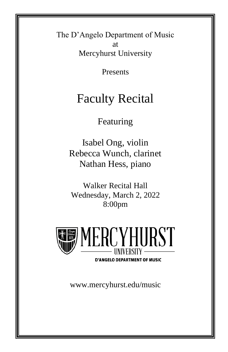The D'Angelo Department of Music at Mercyhurst University

Presents

# Faculty Recital

Featuring

Isabel Ong, violin Rebecca Wunch, clarinet Nathan Hess, piano

Walker Recital Hall Wednesday, March 2, 2022 8:00pm



**D'ANGELO DEPARTMENT OF MUSIC** 

www.mercyhurst.edu/music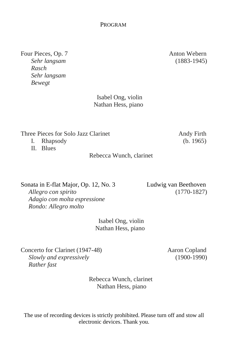Four Pieces, Op. 7 Anton Webern *Sehr langsam* (1883-1945) *Rasch Sehr langsam Bewegt*

 Isabel Ong, violin Nathan Hess, piano

Three Pieces for Solo Jazz Clarinet Andy Firth

I. Rhapsody (b. 1965)

II. Blues

Rebecca Wunch, clarinet

Sonata in E-flat Major, Op. 12, No. 3 Ludwig van Beethoven

 *Adagio con molta espressione Rondo: Allegro molto*

 *Allegro con spirito* (1770-1827)

 Isabel Ong, violin Nathan Hess, piano

Concerto for Clarinet (1947-48) Aaron Copland  *Slowly and expressively* (1900-1990)  *Rather fast*

 Rebecca Wunch, clarinet Nathan Hess, piano

The use of recording devices is strictly prohibited. Please turn off and stow all electronic devices. Thank you.

## PROGRAM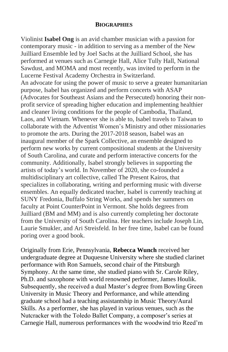#### **BIOGRAPHIES**

Violinist **Isabel Ong** is an avid chamber musician with a passion for contemporary music - in addition to serving as a member of the New Juilliard Ensemble led by Joel Sachs at the Juilliard School, she has performed at venues such as Carnegie Hall, Alice Tully Hall, National Sawdust, and MOMA and most recently, was invited to perform in the Lucerne Festival Academy Orchestra in Switzerland. An advocate for using the power of music to serve a greater humanitarian purpose, Isabel has organized and perform concerts with ASAP (Advocates for Southeast Asians and the Persecuted) honoring their nonprofit service of spreading higher education and implementing healthier and cleaner living conditions for the people of Cambodia, Thailand, Laos, and Vietnam. Whenever she is able to, Isabel travels to Taiwan to collaborate with the Adventist Women's Ministry and other missionaries to promote the arts. During the 2017-2018 season, Isabel was an inaugural member of the Spark Collective, an ensemble designed to perform new works by current compositional students at the University of South Carolina, and curate and perform interactive concerts for the community. Additionally, Isabel strongly believes in supporting the artists of today's world. In November of 2020, she co-founded a multidisciplinary art collective, called The Present Kairos, that specializes in collaborating, writing and performing music with diverse ensembles. An equally dedicated teacher, Isabel is currently teaching at SUNY Fredonia, Buffalo String Works, and spends her summers on faculty at Point CounterPoint in Vermont. She holds degrees from Juilliard (BM and MM) and is also currently completing her doctorate from the University of South Carolina. Her teachers include Joseph Lin, Laurie Smukler, and Ari Streisfeld. In her free time, Isabel can be found poring over a good book.

Originally from Erie, Pennsylvania, **Rebecca Wunch** received her undergraduate degree at Duquesne University where she studied clarinet performance with Ron Samuels, second chair of the Pittsburgh Symphony. At the same time, she studied piano with Sr. Carole Riley, Ph.D. and saxophone with world renowned performer, James Houlik. Subsequently, she received a dual Master's degree from Bowling Green University in Music Theory and Performance, and while attending graduate school had a teaching assistantship in Music Theory/Aural Skills. As a performer, she has played in various venues, such as the Nutcracker with the Toledo Ballet Company, a composer's series at Carnegie Hall, numerous performances with the woodwind trio Reed'm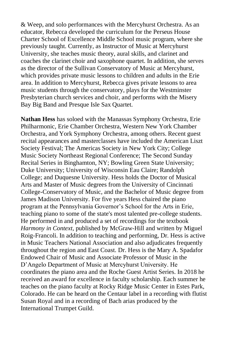& Weep, and solo performances with the Mercyhurst Orchestra. As an educator, Rebecca developed the curriculum for the Perseus House Charter School of Excellence Middle School music program, where she previously taught. Currently, as Instructor of Music at Mercyhurst University, she teaches music theory, aural skills, and clarinet and coaches the clarinet choir and saxophone quartet. In addition, she serves as the director of the Sullivan Conservatory of Music at Mercyhurst, which provides private music lessons to children and adults in the Erie area. In addition to Mercyhurst, Rebecca gives private lessons to area music students through the conservatory, plays for the Westminster Presbyterian church services and choir, and performs with the Misery Bay Big Band and Presque Isle Sax Quartet.

**Nathan Hess** has soloed with the Manassas Symphony Orchestra, Erie Philharmonic, Erie Chamber Orchestra, Western New York Chamber Orchestra, and York Symphony Orchestra, among others. Recent guest recital appearances and masterclasses have included the American Liszt Society Festival; The Americas Society in New York City; College Music Society Northeast Regional Conference; The Second Sunday Recital Series in Binghamton, NY; Bowling Green State University; Duke University; University of Wisconsin Eau Claire; Randolph College; and Duquesne University. Hess holds the Doctor of Musical Arts and Master of Music degrees from the University of Cincinnati College-Conservatory of Music, and the Bachelor of Music degree from James Madison University. For five years Hess chaired the piano program at the Pennsylvania Governor's School for the Arts in Erie, teaching piano to some of the state's most talented pre-college students. He performed in and produced a set of recordings for the textbook *Harmony in Context,* published by McGraw-Hill and written by Miguel Roig-Francoli. In addition to teaching and performing, Dr. Hess is active in Music Teachers National Association and also adjudicates frequently throughout the region and East Coast. Dr. Hess is the Mary A. Spadafor Endowed Chair of Music and Associate Professor of Music in the D'Angelo Department of Music at Mercyhurst University. He coordinates the piano area and the Roche Guest Artist Series. In 2018 he received an award for excellence in faculty scholarship. Each summer he teaches on the piano faculty at Rocky Ridge Music Center in Estes Park, Colorado. He can be heard on the Centaur label in a recording with flutist Susan Royal and in a recording of Bach arias produced by the International Trumpet Guild.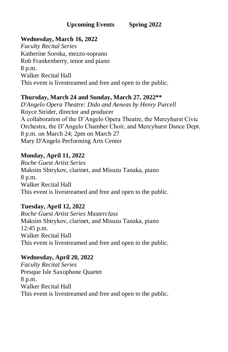#### **Wednesday, March 16, 2022**

*Faculty Recital Series* Katherine Soroka, mezzo-soprano Rob Frankenberry, tenor and piano 8 p.m. Walker Recital Hall This event is livestreamed and free and open to the public.

#### **Thursday, March 24 and Sunday, March 27, 2022\*\***

*D'Angelo Opera Theatre: Dido and Aeneas by Henry Purcell* Royce Strider, director and producer A collaboration of the D'Angelo Opera Theatre, the Mercyhurst Civic Orchestra, the D'Angelo Chamber Choir, and Mercyhurst Dance Dept. 8 p.m. on March 24; 2pm on March 27 Mary D'Angelo Performing Arts Center

#### **Monday, April 11, 2022**

*Roche Guest Artist Series* Maksim Shtrykov, clarinet, and Misuzu Tanaka, piano 8 p.m. Walker Recital Hall This event is livestreamed and free and open to the public.

#### **Tuesday, April 12, 2022**

*Roche Guest Artist Series Masterclass* Maksim Shtrykov, clarinet, and Misuzu Tanaka, piano 12:45 p.m. Walker Recital Hall This event is livestreamed and free and open to the public.

#### **Wednesday, April 20, 2022**

*Faculty Recital Series* Presque Isle Saxophone Quartet 8 p.m. Walker Recital Hall This event is livestreamed and free and open to the public.